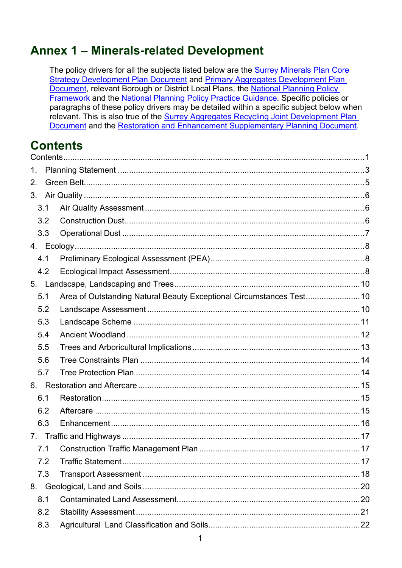# Annex 1 - Minerals-related Development

The policy drivers for all the subjects listed below are the Surrey Minerals Plan Core Strategy Development Plan Document and Primary Aggregates Development Plan Document, relevant Borough or District Local Plans, the National Planning Policy Framework and the National Planning Policy Practice Guidance. Specific policies or paragraphs of these policy drivers may be detailed within a specific subject below when relevant. This is also true of the Surrey Aggregates Recycling Joint Development Plan Document and the Restoration and Enhancement Supplementary Planning Document.

# <span id="page-0-0"></span>**Contents**

| 1.  |     |                                                                      |  |  |  |
|-----|-----|----------------------------------------------------------------------|--|--|--|
| 2.  |     |                                                                      |  |  |  |
| 3.  |     |                                                                      |  |  |  |
|     | 3.1 |                                                                      |  |  |  |
|     | 3.2 |                                                                      |  |  |  |
|     | 3.3 |                                                                      |  |  |  |
|     |     |                                                                      |  |  |  |
|     | 4.1 |                                                                      |  |  |  |
|     | 4.2 |                                                                      |  |  |  |
| 5.  |     |                                                                      |  |  |  |
|     | 5.1 | Area of Outstanding Natural Beauty Exceptional Circumstances Test 10 |  |  |  |
|     | 5.2 |                                                                      |  |  |  |
|     | 5.3 |                                                                      |  |  |  |
|     | 5.4 |                                                                      |  |  |  |
|     | 5.5 |                                                                      |  |  |  |
|     | 5.6 |                                                                      |  |  |  |
|     | 5.7 |                                                                      |  |  |  |
| 6.  |     |                                                                      |  |  |  |
|     | 6.1 |                                                                      |  |  |  |
|     | 6.2 |                                                                      |  |  |  |
|     |     |                                                                      |  |  |  |
| 6.3 |     |                                                                      |  |  |  |
|     | 7.1 |                                                                      |  |  |  |
|     | 7.2 |                                                                      |  |  |  |
|     | 7.3 |                                                                      |  |  |  |
| 8.  |     |                                                                      |  |  |  |
|     | 8.1 |                                                                      |  |  |  |
|     | 8.2 |                                                                      |  |  |  |
|     | 8.3 |                                                                      |  |  |  |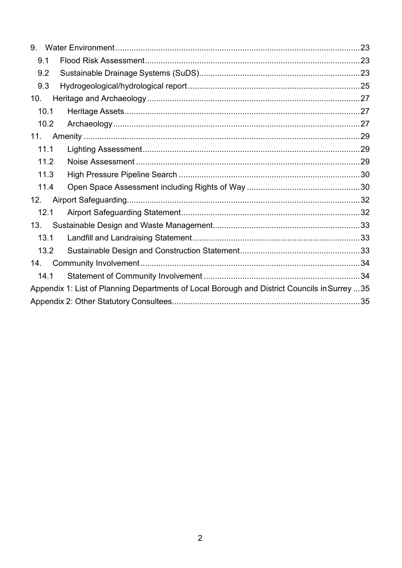| 9.   |                                                                                               |  |  |  |
|------|-----------------------------------------------------------------------------------------------|--|--|--|
|      | 9.1                                                                                           |  |  |  |
|      | 9.2                                                                                           |  |  |  |
|      | 9.3                                                                                           |  |  |  |
| 10.  |                                                                                               |  |  |  |
|      | 10.1                                                                                          |  |  |  |
|      | 10.2                                                                                          |  |  |  |
| 11.  |                                                                                               |  |  |  |
|      | 11.1                                                                                          |  |  |  |
| 11.2 |                                                                                               |  |  |  |
| 11.3 |                                                                                               |  |  |  |
|      | 11.4                                                                                          |  |  |  |
| 12.  |                                                                                               |  |  |  |
|      | 12.1                                                                                          |  |  |  |
| 13.  |                                                                                               |  |  |  |
|      | 13.1                                                                                          |  |  |  |
|      | 13.2                                                                                          |  |  |  |
| 14.  |                                                                                               |  |  |  |
|      | 14.1                                                                                          |  |  |  |
|      | Appendix 1: List of Planning Departments of Local Borough and District Councils in Surrey  35 |  |  |  |
|      |                                                                                               |  |  |  |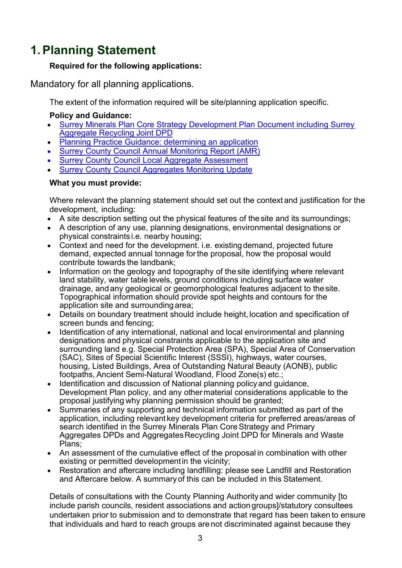# <span id="page-2-0"></span>**1.Planning Statement**

### **Required for the following applications:**

Mandatory for all planning applications.

The extent of the information required will be site/planning application specific.

### **Policy and Guidance:**

- [Surrey Minerals Plan Core Strategy Development Plan Document including Surrey](https://www.surreycc.gov.uk/__data/assets/pdf_file/0007/81439/Adopted-Core-Strategy-Development-Plan-Document.pdf)  [Aggregate Recycling Joint DPD](https://www.surreycc.gov.uk/__data/assets/pdf_file/0007/81439/Adopted-Core-Strategy-Development-Plan-Document.pdf)
- [Planning Practice Guidance: determining an application](https://www.gov.uk/guidance/determining-a-planning-application)
- **[Surrey County Council Annual Monitoring Report \(AMR\)](https://www.surreycc.gov.uk/land-planning-and-development/minerals-and-waste/performance-monitoring)**
- **[Surrey County Council Local Aggregate Assessment](https://www.surreycc.gov.uk/__data/assets/pdf_file/0003/214995/Surrey-LAA-2019-FINAL-for-publication-2020.pdf)**
- **[Surrey County Council Aggregates Monitoring Update](https://www.surreycc.gov.uk/__data/assets/pdf_file/0013/201136/2019-10-09-Revised-Aggregates-Monitoring-Update-2019.pdf)**

### **What you must provide:**

Where relevant the planning statement should set out the context and justification for the development, including:

- A site description setting out the physical features of the site and its surroundings;
- A description of any use, planning designations, environmental designations or physical constraints i.e. nearby housing;
- Context and need for the development. i.e. existing demand, projected future demand, expected annual tonnage forthe proposal, how the proposal would contribute towards the landbank;
- Information on the geology and topography of the site identifying where relevant land stability, water table levels, ground conditions including surface water drainage, and any geological or geomorphological features adjacent to thesite. Topographical information should provide spot heights and contours for the application site and surrounding area;
- Details on boundary treatment should include height, location and specification of screen bunds and fencing;
- Identification of any international, national and local environmental and planning designations and physical constraints applicable to the application site and surrounding land e.g. Special Protection Area (SPA), Special Area of Conservation (SAC), Sites of Special Scientific Interest (SSSI), highways, water courses, housing, Listed Buildings, Area of Outstanding Natural Beauty (AONB), public footpaths, Ancient Semi-Natural Woodland, Flood Zone(s) etc.;
- Identification and discussion of National planning policyand guidance, Development Plan policy, and any othermaterial considerations applicable to the proposal justifying why planning permission should be granted;
- Summaries of any supporting and technical information submitted as part of the application, including relevant key development criteria for preferred areas/areas of search identified in the Surrey Minerals Plan CoreStrategy and Primary Aggregates DPDs and Aggregates Recycling Joint DPD for Minerals and Waste Plans;
- An assessment of the cumulative effect of the proposal in combination with other existing or permitted developmentin the vicinity;
- Restoration and aftercare including landfilling: please see Landfill and Restoration and Aftercare below. A summaryof this can be included in this Statement.

Details of consultations with the County Planning Authority and wider community [to include parish councils, resident associations and action groups]/statutory consultees undertaken prior to submission and to demonstrate that regard has been taken to ensure that individuals and hard to reach groups are not discriminated against because they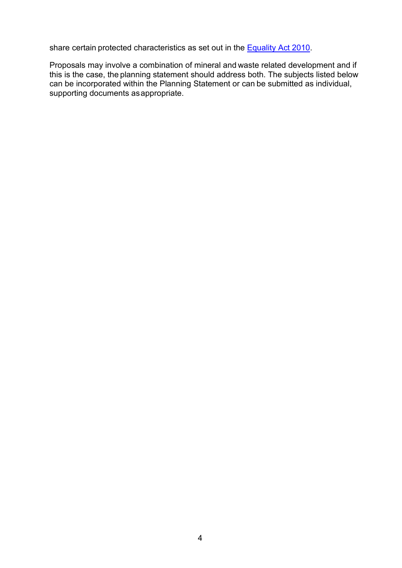share certain protected characteristics as set out in the **Equality Act 2010**.

Proposals may involve a combination of mineral and waste related development and if this is the case, the planning statement should address both. The subjects listed below can be incorporated within the Planning Statement or can be submitted as individual, supporting documents asappropriate.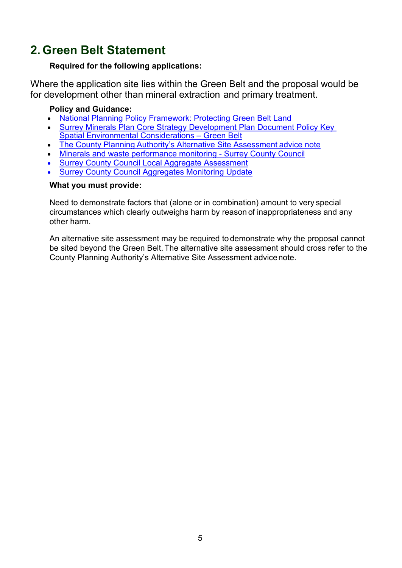# <span id="page-4-0"></span>**2. Green Belt Statement**

### **Required for the following applications:**

Where the application site lies within the Green Belt and the proposal would be for development other than mineral extraction and primary treatment.

### **Policy and Guidance:**

- [National Planning Policy Framework: Protecting Green Belt Land](https://assets.publishing.service.gov.uk/government/uploads/system/uploads/attachment_data/file/810197/NPPF_Feb_2019_revised.pdf)
- [Surrey Minerals Plan Core Strategy Development Plan Document Policy Key](https://www.surreycc.gov.uk/__data/assets/pdf_file/0007/81439/Adopted-Core-Strategy-Development-Plan-Document.pdf)  [Spatial Environmental Considerations – Green Belt](https://www.surreycc.gov.uk/__data/assets/pdf_file/0007/81439/Adopted-Core-Strategy-Development-Plan-Document.pdf)
- The County Planning [Authority's Alternative Site Assessment](https://www.surreycc.gov.uk/__data/assets/pdf_file/0008/71747/AlternativeSiteAssessmentNote.pdf) advice note
- [Minerals and waste performance monitoring Surrey County Council](https://www.surreycc.gov.uk/land-planning-and-development/minerals-and-waste/performance-monitoring)
- **[Surrey County Council Local Aggregate Assessment](https://www.surreycc.gov.uk/__data/assets/pdf_file/0003/214995/Surrey-LAA-2019-FINAL-for-publication-2020.pdf)**
- **[Surrey County Council Aggregates Monitoring Update](https://www.surreycc.gov.uk/__data/assets/pdf_file/0013/201136/2019-10-09-Revised-Aggregates-Monitoring-Update-2019.pdf)**

#### **What you must provide:**

Need to demonstrate factors that (alone or in combination) amount to very special circumstances which clearly outweighs harm by reason of inappropriateness and any other harm.

An alternative site assessment may be required to demonstrate why the proposal cannot be sited beyond the Green Belt.The alternative site assessment should cross refer to the County Planning Authority's Alternative Site Assessment advicenote.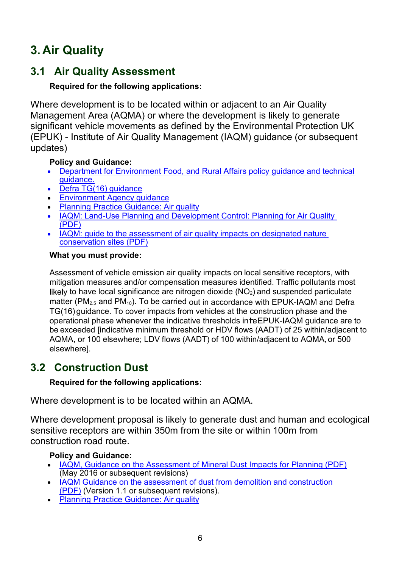# <span id="page-5-0"></span>**3. Air Quality**

# <span id="page-5-1"></span>**3.1 Air Quality Assessment**

## **Required for the following applications:**

Where development is to be located within or adjacent to an Air Quality Management Area (AQMA) or where the development is likely to generate significant vehicle movements as defined by the Environmental Protection UK (EPUK) - Institute of Air Quality Management (IAQM) guidance (or subsequent updates)

## **Policy and Guidance:**

- [Department for Environment Food,](http://www.defra.gov.uk/environment/quality/air/air-quality/laqm/guidance/) [and Rural Affairs policy guidance](http://www.defra.gov.uk/environment/quality/air/air-quality/laqm/guidance/) [and technical](http://www.defra.gov.uk/environment/quality/air/air-quality/laqm/guidance/)  [guidance.](http://www.defra.gov.uk/environment/quality/air/air-quality/laqm/guidance/)
- [Defra TG\(16\) guidance](https://laqm.defra.gov.uk/technical-guidance/)
- [Environment Agency guidance](https://www.gov.uk/environment/pollution-and-environmental-quality)
- [Planning Practice Guidance: Air quality](https://www.gov.uk/guidance/air-quality--3)
- [IAQM: Land-Use Planning and Development Control: Planning for Air Quality](http://www.iaqm.co.uk/text/guidance/air-quality-planning-guidance.pdf) (PDF)
- IAQM: [guide to the assessment of air quality impacts on designated nature](https://iaqm.co.uk/text/guidance/air-quality-impacts-on-nature-sites-2019.pdf)  [conservation sites \(PDF\)](https://iaqm.co.uk/text/guidance/air-quality-impacts-on-nature-sites-2019.pdf)

### **What you must provide:**

Assessment of vehicle emission air quality impacts on local sensitive receptors, with mitigation measures and/or compensation measures identified. Traffic pollutants most likely to have local significance are nitrogen dioxide  $(NO<sub>2</sub>)$  and suspended particulate matter ( $PM_{2.5}$  and  $PM_{10}$ ). To be carried out in accordance with EPUK-IAQM and Defra TG(16) guidance. To cover impacts from vehicles at the construction phase and the operational phase whenever the indicative thresholds inteEPUK-IAQM guidance are to be exceeded [indicative minimum threshold or HDV flows (AADT) of 25 within/adjacent to AQMA, or 100 elsewhere; LDV flows (AADT) of 100 within/adjacent to AQMA, or 500 elsewhere].

# <span id="page-5-2"></span>**3.2 Construction Dust**

## **Required for the following applications:**

Where development is to be located within an AQMA.

Where development proposal is likely to generate dust and human and ecological sensitive receptors are within 350m from the site or within 100m from construction road route.

## **Policy and Guidance:**

- [IAQM, Guidance on the Assessment of Mineral Dust Impacts for Planning \(PDF\)](http://iaqm.co.uk/text/guidance/mineralsguidance_2016.pdf) (May 2016 or subsequent revisions)
- IAQM Guidance on the assessment of dust from demolition and construction [\(PDF\)](file://surreycc.local/deptwide/EAI/PD%20all/Planning/Development%20Control/Validation%20Checklist/03%20Validation%20Checklist%20Review%202019/Final%20docs/%E2%80%A2%09IAQM,%20Guidance%20on%20the%20Assessment%20of%20Mineral%20Dust%20Impacts%20for%20Planning%20(May%202016%20or%20subsequent%20revisions)) (Version 1.1 or subsequent revisions).
- [Planning Practice Guidance: Air quality](https://www.gov.uk/guidance/air-quality--3)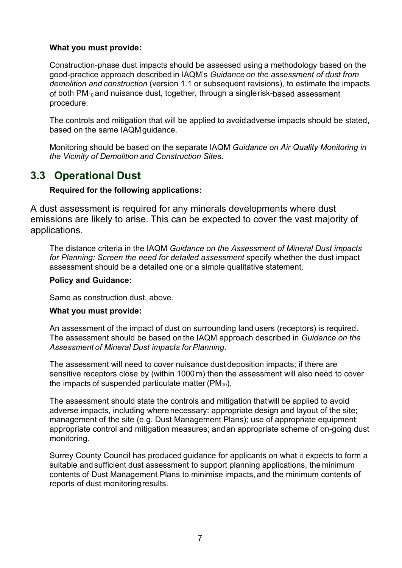#### **What you must provide:**

Construction-phase dust impacts should be assessed using a methodology based on the good-practice approach described in IAQM's *Guidance on the assessment of dust from demolition and construction* (version 1.1 or subsequent revisions), to estimate the impacts of both PM<sub>10</sub> and nuisance dust, together, through a singlerisk-based assessment procedure.

The controls and mitigation that will be applied to avoidadverse impacts should be stated, based on the same IAQMguidance.

Monitoring should be based on the separate IAQM *Guidance on Air Quality Monitoring in the Vicinity of Demolition and Construction Sites*.

## <span id="page-6-0"></span>**3.3 Operational Dust**

#### **Required for the following applications:**

A dust assessment is required for any minerals developments where dust emissions are likely to arise. This can be expected to cover the vast majority of applications.

The distance criteria in the IAQM *Guidance on the Assessment of Mineral Dust impacts for Planning: Screen the need for detailed assessment* specify whether the dust impact assessment should be a detailed one or a simple qualitative statement.

#### **Policy and Guidance:**

Same as construction dust, above.

#### **What you must provide:**

An assessment of the impact of dust on surrounding land users (receptors) is required. The assessment should be based on the IAQM approach described in *Guidance on the Assessment of Mineral Dust impacts forPlanning*.

The assessment will need to cover nuisance dust deposition impacts; if there are sensitive receptors close by (within 1000m) then the assessment will also need to cover the impacts of suspended particulate matter  $(PM_{10})$ .

The assessment should state the controls and mitigation thatwill be applied to avoid adverse impacts, including wherenecessary: appropriate design and layout of the site; management of the site (e.g. Dust Management Plans); use of appropriate equipment; appropriate control and mitigation measures; andan appropriate scheme of on-going dust monitoring.

Surrey County Council has produced guidance for applicants on what it expects to form a suitable andsufficient dust assessment to support planning applications, the minimum contents of Dust Management Plans to minimise impacts, and the minimum contents of reports of dust monitoring results.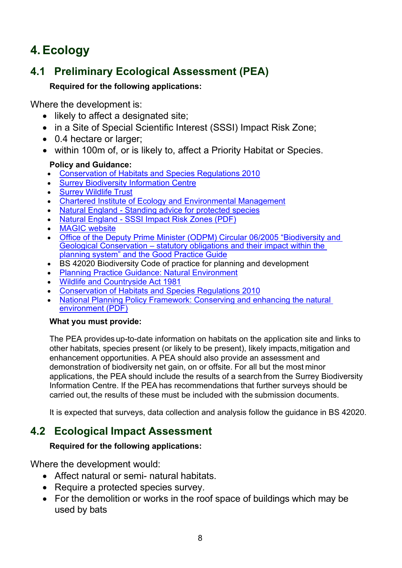# <span id="page-7-0"></span>**4.Ecology**

# <span id="page-7-1"></span>**4.1 Preliminary Ecological Assessment (PEA)**

## **Required for the following applications:**

Where the development is:

- likely to affect a designated site;
- in a Site of Special Scientific Interest (SSSI) Impact Risk Zone;
- 0.4 hectare or larger:
- within 100m of, or is likely to, affect a Priority Habitat or Species.

### **Policy and Guidance:**

- [Conservation of Habitats and Species Regulations 2010](http://www.legislation.gov.uk/uksi/2010/490/contents/made)
- [Surrey Biodiversity Information Centre](http://www.surreywildlifetrust.org/sbic)
- [Surrey Wildlife Trust](http://www.surreywildlifetrust.org/)
- [Chartered Institute of Ecology and Environmental Management](http://www.cieem.net/)
- Natural England [Standing advice for protected species](http://www.naturalengland.org.uk/ourwork/planningdevelopment/spatialplanning/standingadvice/default.aspx)
- Natural England [SSSI Impact Risk Zones \(PDF\)](https://magic.defra.gov.uk/Metadata_for_magic/SSSI%20IRZ%20User%20Guidance%20MAGIC.pdf)
- [MAGIC website](http://www.magic.gov.uk/)
- [Office of the Deputy Prime Minister \(ODPM\) Circular 06/2005 "Biodiversity and](https://www.gov.uk/government/publications/biodiversity-and-geological-conservation-circular-06-2005)  Geological Conservation – [statutory obligations and their impact within the](https://www.gov.uk/government/publications/biodiversity-and-geological-conservation-circular-06-2005)  [planning system" and the Good Practice Guide](https://www.gov.uk/government/publications/biodiversity-and-geological-conservation-circular-06-2005)
- BS 42020 Biodiversity Code of practice for planning and development
- [Planning Practice Guidance: Natural Environment](https://www.gov.uk/guidance/natural-environment)
- [Wildlife and Countryside Act 1981](http://www.legislation.gov.uk/ukpga/1981/69)
- [Conservation of Habitats and Species Regulations 2010](http://www.legislation.gov.uk/uksi/2010/490/contents/made)
- National Planning Policy Framework: Conserving and enhancing the natural [environment \(PDF\)](https://assets.publishing.service.gov.uk/government/uploads/system/uploads/attachment_data/file/810197/NPPF_Feb_2019_revised.pdf)

### **What you must provide:**

The PEA provides up-to-date information on habitats on the application site and links to other habitats, species present (or likely to be present), likely impacts,mitigation and enhancement opportunities. A PEA should also provide an assessment and demonstration of biodiversity net gain, on or offsite. For all but the most minor applications, the PEA should include the results of a search from the Surrey Biodiversity Information Centre. If the PEA has recommendations that further surveys should be carried out, the results of these must be included with the submission documents.

It is expected that surveys, data collection and analysis follow the guidance in BS 42020.

# <span id="page-7-2"></span>**4.2 Ecological Impact Assessment**

## **Required for the following applications:**

Where the development would:

- Affect natural or semi- natural habitats.
- Require a protected species survey.
- For the demolition or works in the roof space of buildings which may be used by bats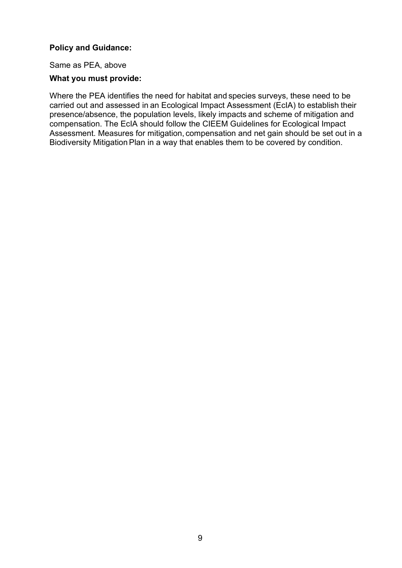#### **Policy and Guidance:**

Same as PEA, above

#### **What you must provide:**

Where the PEA identifies the need for habitat and species surveys, these need to be carried out and assessed in an Ecological Impact Assessment (EcIA) to establish their presence/absence, the population levels, likely impacts and scheme of mitigation and compensation. The EcIA should follow the CIEEM Guidelines for Ecological Impact Assessment. Measures for mitigation, compensation and net gain should be set out in a Biodiversity Mitigation Plan in a way that enables them to be covered by condition.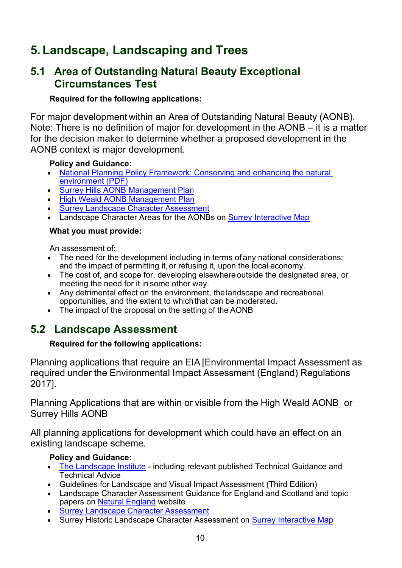# <span id="page-9-0"></span>**5. Landscape, Landscaping and Trees**

## <span id="page-9-1"></span>**5.1 Area of Outstanding Natural Beauty Exceptional Circumstances Test**

### **Required for the following applications:**

For major development within an Area of Outstanding Natural Beauty (AONB). Note: There is no definition of major for development in the AONB – it is a matter for the decision maker to determine whether a proposed development in the AONB context is major development.

### **Policy and Guidance:**

- [National Planning Policy Framework: Conserving and enhancing the natural](https://assets.publishing.service.gov.uk/government/uploads/system/uploads/attachment_data/file/810197/NPPF_Feb_2019_revised.pdf)  [environment \(PDF\)](https://assets.publishing.service.gov.uk/government/uploads/system/uploads/attachment_data/file/810197/NPPF_Feb_2019_revised.pdf)
- [Surrey Hills AONB Management Plan](http://www.surreyhills.org/board/management-plan-2014-2019/)
- [High Weald AONB Management Plan](http://www.highweald.org/high-weald-aonb-management-plan.html)
- [Surrey Landscape Character Assessment](https://www.surreycc.gov.uk/land-planning-and-development/countryside/strategies-action-plans-and-guidance/landscape-character-assessment)
- Landscape Character Areas for the AONBs on [Surrey Interactive Map](https://www.surreycc.gov.uk/land-planning-and-development/interactive-map)

### **What you must provide:**

An assessment of:

- The need for the development including in terms of any national considerations; and the impact of permitting it, or refusing it, upon the local economy.
- The cost of, and scope for, developing elsewhere outside the designated area, or meeting the need for it in some other way.
- Any detrimental effect on the environment, the landscape and recreational opportunities, and the extent to whichthat can be moderated.
- The impact of the proposal on the setting of the AONB

# <span id="page-9-2"></span>**5.2 Landscape Assessment**

### **Required for the following applications:**

Planning applications that require an EIA [Environmental Impact Assessment as required under the Environmental Impact Assessment (England) Regulations 2017].

Planning Applications that are within or visible from the High Weald AONB or Surrey Hills AONB

All planning applications for development which could have an effect on an existing landscape scheme.

### **Policy and Guidance:**

- [The Landscape Institute](https://www.landscapeinstitute.org/) including relevant published Technical Guidance and Technical Advice
- Guidelines for Landscape and Visual Impact Assessment (Third Edition)
- Landscape Character Assessment Guidance for England and Scotland and topic papers on [Natural England](http://www.naturalengland.org.uk/) website
- [Surrey Landscape Character Assessment](https://www.surreycc.gov.uk/land-planning-and-development/countryside/strategies-action-plans-and-guidance/landscape-character-assessment)
- Surrey Historic Landscape Character Assessment on **Surrey Interactive Map**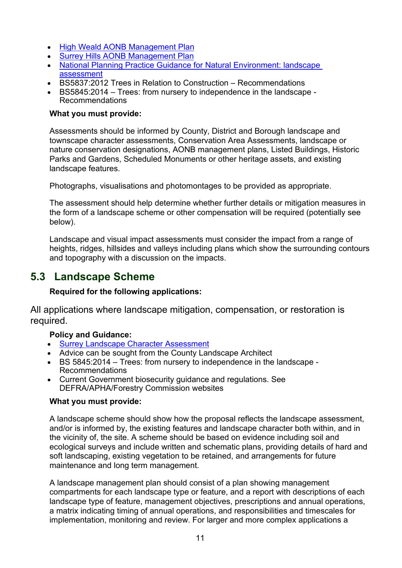- [High Weald AONB Management Plan](http://www.highweald.org/high-weald-aonb-management-plan.html)
- [Surrey Hills AONB Management Plan](http://www.surreyhills.org/board/management-plan-2014-2019/)
- [National Planning Practice Guidance for Natural Environment: landscape](https://www.gov.uk/guidance/natural-environment#landscape)  [assessment](https://www.gov.uk/guidance/natural-environment#landscape)
- BS5837:2012 Trees in Relation to Construction Recommendations
- BS5845:2014 Trees: from nursery to independence in the landscape Recommendations

#### **What you must provide:**

Assessments should be informed by County, District and Borough landscape and townscape character assessments, Conservation Area Assessments, landscape or nature conservation designations, AONB management plans, Listed Buildings, Historic Parks and Gardens, Scheduled Monuments or other heritage assets, and existing landscape features.

Photographs, visualisations and photomontages to be provided as appropriate.

The assessment should help determine whether further details or mitigation measures in the form of a landscape scheme or other compensation will be required (potentially see below).

Landscape and visual impact assessments must consider the impact from a range of heights, ridges, hillsides and valleys including plans which show the surrounding contours and topography with a discussion on the impacts.

## <span id="page-10-0"></span>**5.3 Landscape Scheme**

#### **Required for the following applications:**

All applications where landscape mitigation, compensation, or restoration is required.

#### **Policy and Guidance:**

- [Surrey Landscape Character Assessment](https://www.surreycc.gov.uk/land-planning-and-development/countryside/strategies-action-plans-and-guidance/landscape-character-assessment)
- Advice can be sought from the County Landscape Architect
- BS 5845:2014 Trees: from nursery to independence in the landscape Recommendations
- Current Government biosecurity guidance and regulations. See DEFRA/APHA/Forestry Commission websites

#### **What you must provide:**

A landscape scheme should show how the proposal reflects the landscape assessment, and/or is informed by, the existing features and landscape character both within, and in the vicinity of, the site. A scheme should be based on evidence including soil and ecological surveys and include written and schematic plans, providing details of hard and soft landscaping, existing vegetation to be retained, and arrangements for future maintenance and long term management.

A landscape management plan should consist of a plan showing management compartments for each landscape type or feature, and a report with descriptions of each landscape type of feature, management objectives, prescriptions and annual operations, a matrix indicating timing of annual operations, and responsibilities and timescales for implementation, monitoring and review. For larger and more complex applications a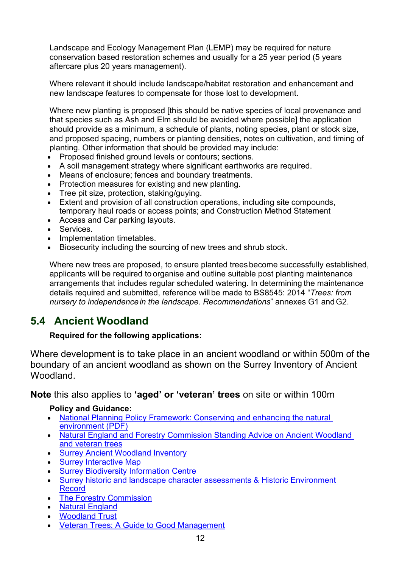Landscape and Ecology Management Plan (LEMP) may be required for nature conservation based restoration schemes and usually for a 25 year period (5 years aftercare plus 20 years management).

Where relevant it should include landscape/habitat restoration and enhancement and new landscape features to compensate for those lost to development.

Where new planting is proposed [this should be native species of local provenance and that species such as Ash and Elm should be avoided where possible] the application should provide as a minimum, a schedule of plants, noting species, plant or stock size, and proposed spacing, numbers or planting densities, notes on cultivation, and timing of planting. Other information that should be provided may include:

- Proposed finished ground levels or contours; sections.
- A soil management strategy where significant earthworks are required.
- Means of enclosure; fences and boundary treatments.
- Protection measures for existing and new planting.
- Tree pit size, protection, staking/guying.
- Extent and provision of all construction operations, including site compounds, temporary haul roads or access points; and Construction Method Statement
- Access and Car parking layouts.
- Services.
- Implementation timetables.
- Biosecurity including the sourcing of new trees and shrub stock.

Where new trees are proposed, to ensure planted treesbecome successfully established, applicants will be required to organise and outline suitable post planting maintenance arrangements that includes regular scheduled watering. In determining the maintenance details required and submitted, reference willbe made to BS8545: 2014 "*Trees: from nursery to independencein the landscape. Recommendations*" annexes G1 andG2.

# <span id="page-11-0"></span>**5.4 Ancient Woodland**

### **Required for the following applications:**

Where development is to take place in an ancient woodland or within 500m of the boundary of an ancient woodland as shown on the Surrey Inventory of Ancient Woodland.

**Note** this also applies to **'aged' or 'veteran' trees** on site or within 100m

### **Policy and Guidance:**

- [National Planning Policy Framework: Conserving and enhancing the natural](https://assets.publishing.service.gov.uk/government/uploads/system/uploads/attachment_data/file/810197/NPPF_Feb_2019_revised.pdf)  [environment \(PDF\)](https://assets.publishing.service.gov.uk/government/uploads/system/uploads/attachment_data/file/810197/NPPF_Feb_2019_revised.pdf)
- [Natural England and Forestry Commission Standing Advice on Ancient Woodland](https://www.gov.uk/guidance/ancient-woodland-and-veteran-trees-protection-surveys-licences)  [and veteran trees](https://www.gov.uk/guidance/ancient-woodland-and-veteran-trees-protection-surveys-licences)
- [Surrey Ancient Woodland Inventory](https://www.surreycc.gov.uk/land-planning-and-development/countryside/woodlands/surveys)
- **[Surrey Interactive Map](https://www.surreycc.gov.uk/land-planning-and-development/interactive-map)**
- **[Surrey Biodiversity Information Centre](http://www.surreywildlifetrust.org/SBIC)**
- [Surrey historic and landscape character assessments & Historic Environment](https://www.surreycc.gov.uk/land-planning-and-development/historical-planning/historic-environment-record)  [Record](https://www.surreycc.gov.uk/land-planning-and-development/historical-planning/historic-environment-record)
- [The Forestry Commission](https://www.gov.uk/guidance/planning-applications-affecting-trees-and-woodland)
- [Natural England](https://www.gov.uk/government/organisations/natural-england)
- [Woodland Trust](https://www.woodlandtrust.org.uk/)
- [Veteran Trees: A Guide to Good Management](http://publications.naturalengland.org.uk/publication/75035)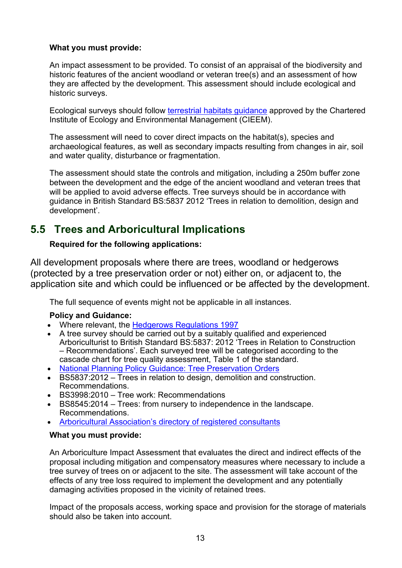#### **What you must provide:**

An impact assessment to be provided. To consist of an appraisal of the biodiversity and historic features of the ancient woodland or veteran tree(s) and an assessment of how they are affected by the development. This assessment should include ecological and historic surveys.

Ecological surveys should follow [terrestrial habitats guidance](http://www.cieem.net/habitats-terrestrial) approved by the Chartered Institute of Ecology and Environmental Management (CIEEM).

The assessment will need to cover direct impacts on the habitat(s), species and archaeological features, as well as secondary impacts resulting from changes in air, soil and water quality, disturbance or fragmentation.

The assessment should state the controls and mitigation, including a 250m buffer zone between the development and the edge of the ancient woodland and veteran trees that will be applied to avoid adverse effects. Tree surveys should be in accordance with guidance in British Standard BS:5837 2012 'Trees in relation to demolition, design and development'.

# <span id="page-12-0"></span>**5.5 Trees and Arboricultural Implications**

### **Required for the following applications:**

All development proposals where there are trees, woodland or hedgerows (protected by a tree preservation order or not) either on, or adjacent to, the application site and which could be influenced or be affected by the development.

The full sequence of events might not be applicable in all instances.

### **Policy and Guidance:**

- Where relevant, the [Hedgerows Regulations 1997](http://www.naturalengland.org.uk/ourwork/regulation/hedgeregs/default.aspx)
- A tree survey should be carried out by a suitably qualified and experienced Arboriculturist to British Standard BS:5837: 2012 'Trees in Relation to Construction – Recommendations'. Each surveyed tree will be categorised according to the cascade chart for tree quality assessment, Table 1 of the standard.
- [National Planning Policy Guidance: Tree Preservation Orders](https://www.gov.uk/guidance/tree-preservation-orders-and-trees-in-conservation-areas)
- BS5837:2012 Trees in relation to design, demolition and construction. Recommendations.
- BS3998:2010 Tree work: Recommendations
- BS8545:2014 Trees: from nursery to independence in the landscape. Recommendations.
- [Arboricultural Association's directory of registered consultants](http://www.trees.org.uk/)

#### **What you must provide:**

An Arboriculture Impact Assessment that evaluates the direct and indirect effects of the proposal including mitigation and compensatory measures where necessary to include a tree survey of trees on or adjacent to the site. The assessment will take account of the effects of any tree loss required to implement the development and any potentially damaging activities proposed in the vicinity of retained trees.

Impact of the proposals access, working space and provision for the storage of materials should also be taken into account.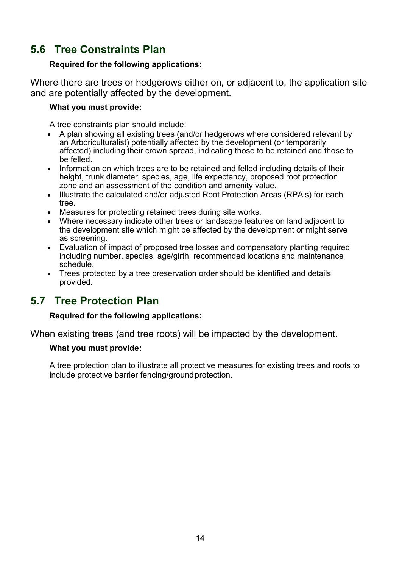# <span id="page-13-0"></span>**5.6 Tree Constraints Plan**

#### **Required for the following applications:**

Where there are trees or hedgerows either on, or adjacent to, the application site and are potentially affected by the development.

#### **What you must provide:**

A tree constraints plan should include:

- A plan showing all existing trees (and/or hedgerows where considered relevant by an Arboriculturalist) potentially affected by the development (or temporarily affected) including their crown spread, indicating those to be retained and those to be felled.
- Information on which trees are to be retained and felled including details of their height, trunk diameter, species, age, life expectancy, proposed root protection zone and an assessment of the condition and amenity value.
- Illustrate the calculated and/or adjusted Root Protection Areas (RPA's) for each tree.
- Measures for protecting retained trees during site works.
- Where necessary indicate other trees or landscape features on land adjacent to the development site which might be affected by the development or might serve as screening.
- Evaluation of impact of proposed tree losses and compensatory planting required including number, species, age/girth, recommended locations and maintenance schedule.
- Trees protected by a tree preservation order should be identified and details provided.

## <span id="page-13-1"></span>**5.7 Tree Protection Plan**

#### **Required for the following applications:**

When existing trees (and tree roots) will be impacted by the development.

### **What you must provide:**

A tree protection plan to illustrate all protective measures for existing trees and roots to include protective barrier fencing/ground protection.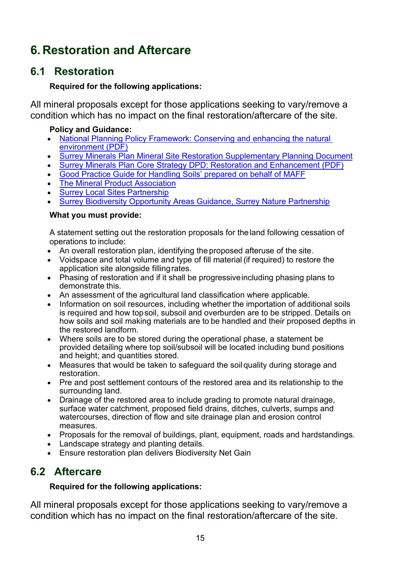# <span id="page-14-0"></span>**6. Restoration and Aftercare**

# <span id="page-14-1"></span>**6.1 Restoration**

### **Required for the following applications:**

All mineral proposals except for those applications seeking to vary/remove a condition which has no impact on the final restoration/aftercare of the site.

### **Policy and Guidance:**

- [National Planning Policy Framework: Conserving and enhancing the natural](https://assets.publishing.service.gov.uk/government/uploads/system/uploads/attachment_data/file/810197/NPPF_Feb_2019_revised.pdf)  [environment](https://assets.publishing.service.gov.uk/government/uploads/system/uploads/attachment_data/file/810197/NPPF_Feb_2019_revised.pdf) (PDF)
- [Surrey Minerals Plan Mineral Site Restoration Supplementary Planning Document](https://www.surreycc.gov.uk/land-planning-and-development/minerals-and-waste/minerals-core-strategy-development-plan/minerals-plan-site-restoration-supplementary-planning)
- [Surrey Minerals Plan Core Strategy DPD: Restoration and Enhancement \(PDF\)](https://www.surreycc.gov.uk/__data/assets/pdf_file/0007/81439/Adopted-Core-Strategy-Development-Plan-Document.pdf)
- [Good Practice Guide for Handling Soils' prepared on behalf of MAFF](https://webarchive.nationalarchives.gov.uk/20090317221756/http:/www.defra.gov.uk/farm/environment/land-use/soilguid/index.htm)
- **[The Mineral Product Association](http://www.mineralproducts.org/)**
- [Surrey Local Sites Partnership](https://surreynaturepartnership.org.uk/surrey-local-sites-partnership/)
- **[Surrey Biodiversity Opportunity Areas Guidance, Surrey Nature Partnership](https://surreynaturepartnership.org.uk/our-work/)**

### **What you must provide:**

A statement setting out the restoration proposals for theland following cessation of operations to include:

- An overall restoration plan, identifying the proposed afteruse of the site.
- Voidspace and total volume and type of fill material (if required) to restore the application site alongside fillingrates.
- Phasing of restoration and if it shall be progressiveincluding phasing plans to demonstrate this.
- An assessment of the agricultural land classification where applicable.
- Information on soil resources, including whether the importation of additional soils is required and how topsoil, subsoil and overburden are to be stripped. Details on how soils and soil making materials are to be handled and their proposed depths in the restored landform.
- Where soils are to be stored during the operational phase, a statement be provided detailing where top soil/subsoil will be located including bund positions and height; and quantities stored.
- Measures that would be taken to safeguard the soil quality during storage and restoration.
- Pre and post settlement contours of the restored area and its relationship to the surrounding land.
- Drainage of the restored area to include grading to promote natural drainage, surface water catchment, proposed field drains, ditches, culverts, sumps and watercourses, direction of flow and site drainage plan and erosion control measures.
- Proposals for the removal of buildings, plant, equipment, roads and hardstandings.
- Landscape strategy and planting details.
- Ensure restoration plan delivers Biodiversity Net Gain

# <span id="page-14-2"></span>**6.2 Aftercare**

### **Required for the following applications:**

All mineral proposals except for those applications seeking to vary/remove a condition which has no impact on the final restoration/aftercare of the site.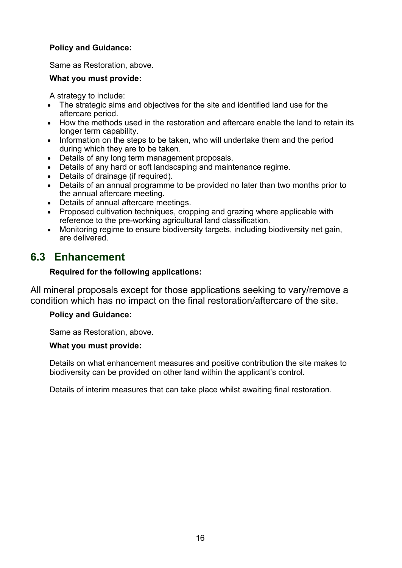### **Policy and Guidance:**

Same as Restoration, above.

#### **What you must provide:**

A strategy to include:

- The strategic aims and objectives for the site and identified land use for the aftercare period.
- How the methods used in the restoration and aftercare enable the land to retain its longer term capability.
- Information on the steps to be taken, who will undertake them and the period during which they are to be taken.
- Details of any long term management proposals.
- Details of any hard or soft landscaping and maintenance regime.
- Details of drainage (if required).
- Details of an annual programme to be provided no later than two months prior to the annual aftercare meeting.
- Details of annual aftercare meetings.
- Proposed cultivation techniques, cropping and grazing where applicable with reference to the pre-working agricultural land classification.
- Monitoring regime to ensure biodiversity targets, including biodiversity net gain, are delivered.

# <span id="page-15-0"></span>**6.3 Enhancement**

### **Required for the following applications:**

All mineral proposals except for those applications seeking to vary/remove a condition which has no impact on the final restoration/aftercare of the site.

### **Policy and Guidance:**

Same as Restoration, above.

### **What you must provide:**

Details on what enhancement measures and positive contribution the site makes to biodiversity can be provided on other land within the applicant's control.

Details of interim measures that can take place whilst awaiting final restoration.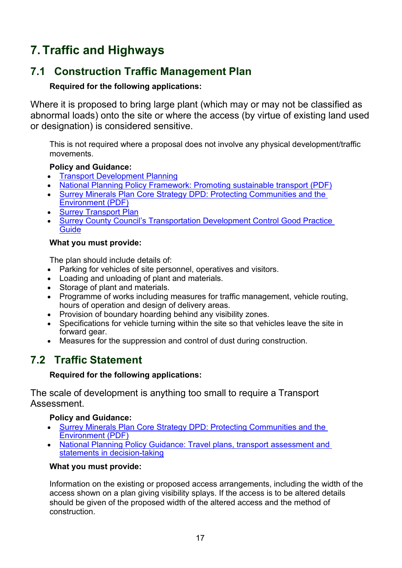# <span id="page-16-0"></span>**7. Traffic and Highways**

# <span id="page-16-1"></span>**7.1 Construction Traffic Management Plan**

## **Required for the following applications:**

Where it is proposed to bring large plant (which may or may not be classified as abnormal loads) onto the site or where the access (by virtue of existing land used or designation) is considered sensitive.

This is not required where a proposal does not involve any physical development/traffic movements.

### **Policy and Guidance:**

- [Transport Development Planning](https://www.surreycc.gov.uk/land-planning-and-development/planning/transport-development)
- [National Planning Policy Framework: Promoting sustainable transport \(PDF\)](https://assets.publishing.service.gov.uk/government/uploads/system/uploads/attachment_data/file/810197/NPPF_Feb_2019_revised.pdf)
- Surrey Minerals Plan Core [Strategy DPD: Protecting Communities and the](https://www.surreycc.gov.uk/__data/assets/pdf_file/0007/81439/Adopted-Core-Strategy-Development-Plan-Document.pdf)  [Environment \(PDF\)](https://www.surreycc.gov.uk/__data/assets/pdf_file/0007/81439/Adopted-Core-Strategy-Development-Plan-Document.pdf)
- **[Surrey Transport Plan](https://www.surreycc.gov.uk/roads-and-transport/policies-plans-consultations/transport-plan)**
- Surrey County Council's Transportation Development Control Good Practice **[Guide](https://www.surreycc.gov.uk/land-planning-and-development/planning/transport-development/good-practice-guide)**

### **What you must provide:**

The plan should include details of:

- Parking for vehicles of site personnel, operatives and visitors.
- Loading and unloading of plant and materials.
- Storage of plant and materials.
- Programme of works including measures for traffic management, vehicle routing, hours of operation and design of delivery areas.
- Provision of boundary hoarding behind any visibility zones.
- Specifications for vehicle turning within the site so that vehicles leave the site in forward gear.
- Measures for the suppression and control of dust during construction.

# <span id="page-16-2"></span>**7.2 Traffic Statement**

### **Required for the following applications:**

The scale of development is anything too small to require a Transport Assessment.

### **Policy and Guidance:**

- [Surrey Minerals Plan Core Strategy DPD: Protecting Communities and the](https://www.surreycc.gov.uk/__data/assets/pdf_file/0007/81439/Adopted-Core-Strategy-Development-Plan-Document.pdf)  [Environment \(PDF\)](https://www.surreycc.gov.uk/__data/assets/pdf_file/0007/81439/Adopted-Core-Strategy-Development-Plan-Document.pdf)
- [National Planning Policy Guidance: Travel plans, transport assessment and](http://planningguidance.planningportal.gov.uk/blog/guidance/travel-plans-transport-assessments-and-statements-in-decision-taking/)  [statements in decision-taking](http://planningguidance.planningportal.gov.uk/blog/guidance/travel-plans-transport-assessments-and-statements-in-decision-taking/)

### **What you must provide:**

Information on the existing or proposed access arrangements, including the width of the access shown on a plan giving visibility splays. If the access is to be altered details should be given of the proposed width of the altered access and the method of construction.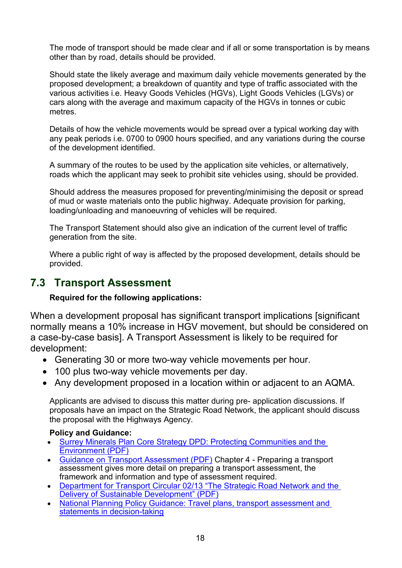The mode of transport should be made clear and if all or some transportation is by means other than by road, details should be provided.

Should state the likely average and maximum daily vehicle movements generated by the proposed development; a breakdown of quantity and type of traffic associated with the various activities i.e. Heavy Goods Vehicles (HGVs), Light Goods Vehicles (LGVs) or cars along with the average and maximum capacity of the HGVs in tonnes or cubic metres.

Details of how the vehicle movements would be spread over a typical working day with any peak periods i.e. 0700 to 0900 hours specified, and any variations during the course of the development identified.

A summary of the routes to be used by the application site vehicles, or alternatively, roads which the applicant may seek to prohibit site vehicles using, should be provided.

Should address the measures proposed for preventing/minimising the deposit or spread of mud or waste materials onto the public highway. Adequate provision for parking, loading/unloading and manoeuvring of vehicles will be required.

The Transport Statement should also give an indication of the current level of traffic generation from the site.

Where a public right of way is affected by the proposed development, details should be provided.

# <span id="page-17-0"></span>**7.3 Transport Assessment**

### **Required for the following applications:**

When a development proposal has significant transport implications [significant normally means a 10% increase in HGV movement, but should be considered on a case-by-case basis]. A Transport Assessment is likely to be required for development:

- Generating 30 or more two-way vehicle movements per hour.
- 100 plus two-way vehicle movements per day.
- Any development proposed in a location within or adjacent to an AQMA.

Applicants are advised to discuss this matter during pre- application discussions. If proposals have an impact on the Strategic Road Network, the applicant should discuss the proposal with the Highways Agency.

### **Policy and Guidance:**

- [Surrey Minerals Plan Core Strategy DPD: Protecting Communities and the](https://www.surreycc.gov.uk/__data/assets/pdf_file/0007/81439/Adopted-Core-Strategy-Development-Plan-Document.pdf)  [Environment \(PDF\)](https://www.surreycc.gov.uk/__data/assets/pdf_file/0007/81439/Adopted-Core-Strategy-Development-Plan-Document.pdf)
- [Guidance on Transport Assessment \(PDF\)](https://www.gov.uk/government/uploads/system/uploads/attachment_data/file/263054/guidance-transport-assessment.pdf) Chapter 4 Preparing a transport assessment gives more detail on preparing a transport assessment, the framework and information and type of assessment required.
- [Department for Transport Circular 02/13 "The Strategic Road Network and the](https://www.gov.uk/government/uploads/system/uploads/attachment_data/file/237412/dft-circular-strategic-road.pdf)  [Delivery of Sustainable Development" \(PDF\)](https://www.gov.uk/government/uploads/system/uploads/attachment_data/file/237412/dft-circular-strategic-road.pdf)
- [National Planning Policy Guidance: Travel plans, transport assessment and](http://planningguidance.planningportal.gov.uk/blog/guidance/travel-plans-transport-assessments-and-statements-in-decision-taking/)  [statements in decision-taking](http://planningguidance.planningportal.gov.uk/blog/guidance/travel-plans-transport-assessments-and-statements-in-decision-taking/)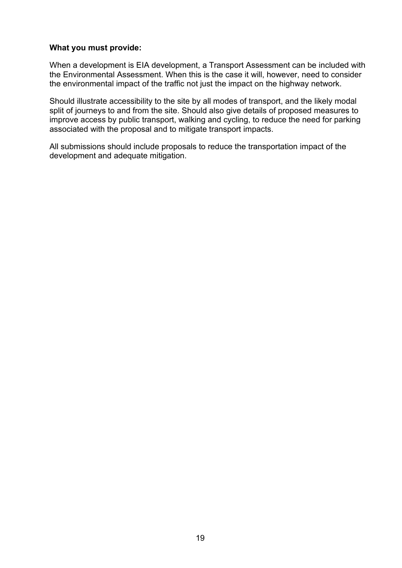#### **What you must provide:**

When a development is EIA development, a Transport Assessment can be included with the Environmental Assessment. When this is the case it will, however, need to consider the environmental impact of the traffic not just the impact on the highway network.

Should illustrate accessibility to the site by all modes of transport, and the likely modal split of journeys to and from the site. Should also give details of proposed measures to improve access by public transport, walking and cycling, to reduce the need for parking associated with the proposal and to mitigate transport impacts.

All submissions should include proposals to reduce the transportation impact of the development and adequate mitigation.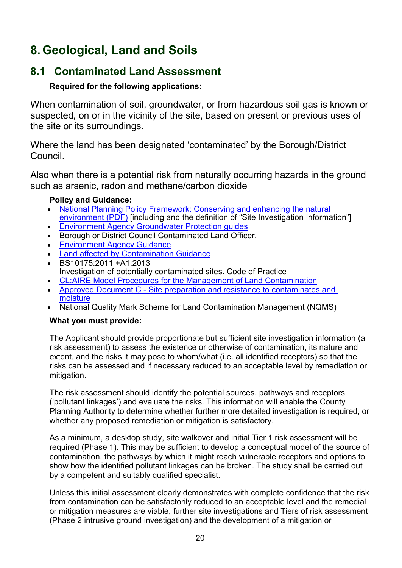# <span id="page-19-0"></span>**8. Geological, Land and Soils**

# <span id="page-19-1"></span>**8.1 Contaminated Land Assessment**

### **Required for the following applications:**

When contamination of soil, groundwater, or from hazardous soil gas is known or suspected, on or in the vicinity of the site, based on present or previous uses of the site or its surroundings.

Where the land has been designated 'contaminated' by the Borough/District Council.

Also when there is a potential risk from naturally occurring hazards in the ground such as arsenic, radon and methane/carbon dioxide

### **Policy and Guidance:**

- [National Planning Policy Framework: Conserving and enhancing the natural](https://assets.publishing.service.gov.uk/government/uploads/system/uploads/attachment_data/file/810197/NPPF_Feb_2019_revised.pdf)  [environment](https://assets.publishing.service.gov.uk/government/uploads/system/uploads/attachment_data/file/810197/NPPF_Feb_2019_revised.pdf) (PDF) [including and the definition of "Site Investigation Information"]
- [Environment Agency Groundwater Protection guides](https://www.gov.uk/government/collections/groundwater-protection)
- Borough or District Council Contaminated Land Officer.
- [Environment Agency Guidance](https://www.gov.uk/government/collections/land-contamination-technical-guidance)
- [Land affected by Contamination Guidance](https://www.gov.uk/guidance/land-affected-by-contamination)
- BS10175:2011 +A1:2013 Investigation of potentially contaminated sites. Code of Practice
- [CL:AIRE Model Procedures for the Management of Land Contamination](http://www.claire.co.uk/information-centre/water-and-land-library-wall/45-model-procedures/187-model-procedures)
- Approved Document C Site preparation and resistance to contaminates and [moisture](https://www.gov.uk/government/publications/site-preparation-and-resistance-to-contaminates-and-moisture-approved-document-c)
- National Quality Mark Scheme for Land Contamination Management (NQMS)

### **What you must provide:**

The Applicant should provide proportionate but sufficient site investigation information (a risk assessment) to assess the existence or otherwise of contamination, its nature and extent, and the risks it may pose to whom/what (i.e. all identified receptors) so that the risks can be assessed and if necessary reduced to an acceptable level by remediation or mitigation.

The risk assessment should identify the potential sources, pathways and receptors ('pollutant linkages') and evaluate the risks. This information will enable the County Planning Authority to determine whether further more detailed investigation is required, or whether any proposed remediation or mitigation is satisfactory.

As a minimum, a desktop study, site walkover and initial Tier 1 risk assessment will be required (Phase 1). This may be sufficient to develop a conceptual model of the source of contamination, the pathways by which it might reach vulnerable receptors and options to show how the identified pollutant linkages can be broken. The study shall be carried out by a competent and suitably qualified specialist.

Unless this initial assessment clearly demonstrates with complete confidence that the risk from contamination can be satisfactorily reduced to an acceptable level and the remedial or mitigation measures are viable, further site investigations and Tiers of risk assessment (Phase 2 intrusive ground investigation) and the development of a mitigation or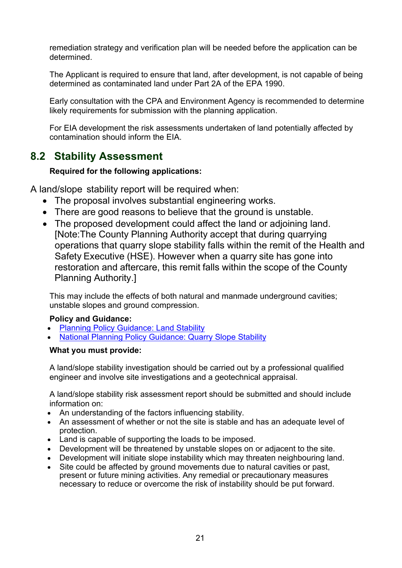remediation strategy and verification plan will be needed before the application can be determined.

The Applicant is required to ensure that land, after development, is not capable of being determined as contaminated land under Part 2A of the EPA 1990.

Early consultation with the CPA and Environment Agency is recommended to determine likely requirements for submission with the planning application.

For EIA development the risk assessments undertaken of land potentially affected by contamination should inform the EIA.

# <span id="page-20-0"></span>**8.2 Stability Assessment**

### **Required for the following applications:**

A land/slope stability report will be required when:

- The proposal involves substantial engineering works.
- There are good reasons to believe that the ground is unstable.
- The proposed development could affect the land or adjoining land. [Note:The County Planning Authority accept that during quarrying operations that quarry slope stability falls within the remit of the Health and Safety Executive (HSE). However when a quarry site has gone into restoration and aftercare, this remit falls within the scope of the County Planning Authority.]

This may include the effects of both natural and manmade underground cavities; unstable slopes and ground compression.

### **Policy and Guidance:**

- [Planning Policy Guidance: Land Stability](https://www.gov.uk/guidance/land-stability)
- [National Planning Policy Guidance: Quarry Slope Stability](https://www.gov.uk/guidance/minerals)

### **What you must provide:**

A land/slope stability investigation should be carried out by a professional qualified engineer and involve site investigations and a geotechnical appraisal.

A land/slope stability risk assessment report should be submitted and should include information on:

- An understanding of the factors influencing stability.
- An assessment of whether or not the site is stable and has an adequate level of protection.
- Land is capable of supporting the loads to be imposed.
- Development will be threatened by unstable slopes on or adjacent to the site.
- Development will initiate slope instability which may threaten neighbouring land.
- Site could be affected by ground movements due to natural cavities or past, present or future mining activities. Any remedial or precautionary measures necessary to reduce or overcome the risk of instability should be put forward.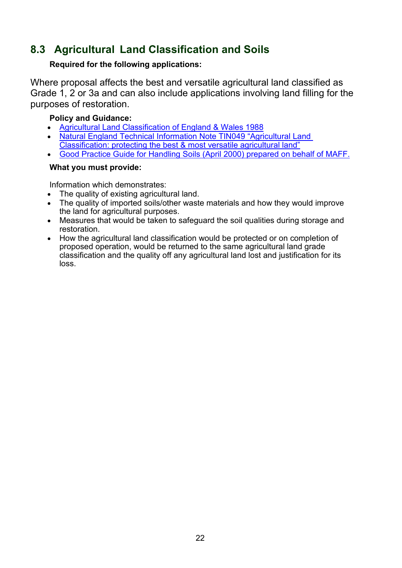# <span id="page-21-0"></span>**8.3 Agricultural Land Classification and Soils**

### **Required for the following applications:**

Where proposal affects the best and versatile agricultural land classified as Grade 1, 2 or 3a and can also include applications involving land filling for the purposes of restoration.

### **Policy and Guidance:**

- [Agricultural Land Classification of England & Wales 1988](http://publications.naturalengland.org.uk/publication/6257050620264448)
- [Natural England Technical Information Note TIN049 "Agricultural Land](http://publications.naturalengland.org.uk/publication/35012)  [Classification: protecting the best & most versatile agricultural land"](http://publications.naturalengland.org.uk/publication/35012)
- [Good Practice Guide for Handling Soils \(April 2000\) prepared on behalf of MAFF.](https://webarchive.nationalarchives.gov.uk/20090317221756/http:/www.defra.gov.uk/farm/environment/land-use/soilguid/index.htm)

### **What you must provide:**

Information which demonstrates:

- The quality of existing agricultural land.
- The quality of imported soils/other waste materials and how they would improve the land for agricultural purposes.
- Measures that would be taken to safeguard the soil qualities during storage and restoration.
- How the agricultural land classification would be protected or on completion of proposed operation, would be returned to the same agricultural land grade classification and the quality off any agricultural land lost and justification for its loss.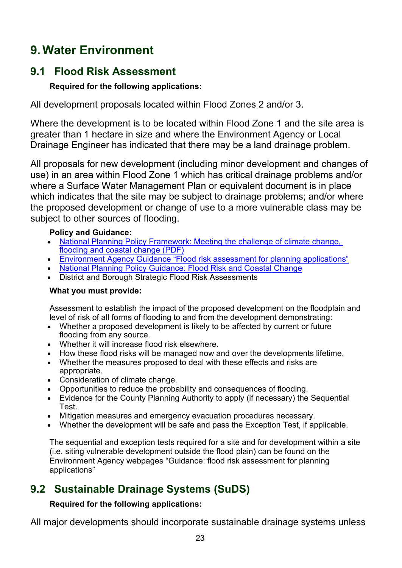# <span id="page-22-0"></span>**9. Water Environment**

# <span id="page-22-1"></span>**9.1 Flood Risk Assessment**

### **Required for the following applications:**

All development proposals located within Flood Zones 2 and/or 3.

Where the development is to be located within Flood Zone 1 and the site area is greater than 1 hectare in size and where the Environment Agency or Local Drainage Engineer has indicated that there may be a land drainage problem.

All proposals for new development (including minor development and changes of use) in an area within Flood Zone 1 which has critical drainage problems and/or where a Surface Water Management Plan or equivalent document is in place which indicates that the site may be subject to drainage problems; and/or where the proposed development or change of use to a more vulnerable class may be subject to other sources of flooding.

### **Policy and Guidance:**

- National Planning Policy Framework: Meeting the challenge of climate change, [flooding and coastal change \(PDF\)](https://assets.publishing.service.gov.uk/government/uploads/system/uploads/attachment_data/file/810197/NPPF_Feb_2019_revised.pdf)
- [Environment Agency Guidance "Flood risk assessment for planning applications"](https://www.gov.uk/guidance/flood-risk-assessment-for-planning-applications)
- [National Planning Policy Guidance: Flood Risk and Coastal Change](http://planningguidance.planningportal.gov.uk/blog/guidance/flood-risk-and-coastal-change/)
- District and Borough Strategic Flood Risk Assessments

### **What you must provide:**

Assessment to establish the impact of the proposed development on the floodplain and level of risk of all forms of flooding to and from the development demonstrating:

- Whether a proposed development is likely to be affected by current or future flooding from any source.
- Whether it will increase flood risk elsewhere.
- How these flood risks will be managed now and over the developments lifetime.
- Whether the measures proposed to deal with these effects and risks are appropriate.
- Consideration of climate change.
- Opportunities to reduce the probability and consequences of flooding.
- Evidence for the County Planning Authority to apply (if necessary) the Sequential Test.
- Mitigation measures and emergency evacuation procedures necessary.
- Whether the development will be safe and pass the Exception Test, if applicable.

The sequential and exception tests required for a site and for development within a site (i.e. siting vulnerable development outside the flood plain) can be found on the Environment Agency webpages "Guidance: flood risk assessment for planning applications"

# <span id="page-22-2"></span>**9.2 Sustainable Drainage Systems (SuDS)**

### **Required for the following applications:**

All major developments should incorporate sustainable drainage systems unless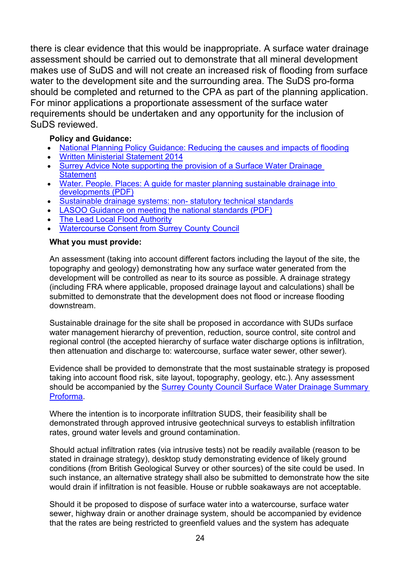there is clear evidence that this would be inappropriate. A surface water drainage assessment should be carried out to demonstrate that all mineral development makes use of SuDS and will not create an increased risk of flooding from surface water to the development site and the surrounding area. The SuDS pro-forma should be completed and returned to the CPA as part of the planning application. For minor applications a proportionate assessment of the surface water requirements should be undertaken and any opportunity for the inclusion of SuDS reviewed.

### **Policy and Guidance:**

- [National Planning Policy Guidance: Reducing the causes and impacts of flooding](https://www.gov.uk/guidance/flood-risk-and-coastal-change#flood-risk-opportunities)
- [Written Ministerial Statement 2014](https://www.parliament.uk/business/publications/written-questions-answers-statements/written-statement/Commons/2014-12-18/HCWS161)
- Surrey Advice Note supporting the provision of a Surface Water Drainage **[Statement](https://www.surreycc.gov.uk/people-and-community/emergency-planning-and-community-safety/flooding-advice/more-about-flooding/suds-planning-advice)**
- Water. People. Places: A guide for master planning sustainable drainage into [developments](https://www.midsussex.gov.uk/media/2909/water-people-places-a-guide-for-master-planning-sustainable-drainage-into-developments.pdf) (PDF)
- [Sustainable drainage systems: non-](https://www.gov.uk/government/publications/sustainable-drainage-systems-non-statutory-technical-standards) statutory technical standards
- [LASOO Guidance on meeting the national standards \(PDF\)](https://www.susdrain.org/files/resources/other-guidance/lasoo_non_statutory_suds_technical_standards_guidance_2016_.pdf)
- **[The Lead Local Flood Authority](https://www.surreycc.gov.uk/people-and-community/emergency-planning-and-community-safety/flooding-advice/more-about-flooding/the-flood-and-water-management-act)**
- **[Watercourse Consent from Surrey County Council](https://www.surreycc.gov.uk/people-and-community/emergency-planning-and-community-safety/flooding-advice/more-about-flooding/ordinary-watercourse-consents)**

### **What you must provide:**

An assessment (taking into account different factors including the layout of the site, the topography and geology) demonstrating how any surface water generated from the development will be controlled as near to its source as possible. A drainage strategy (including FRA where applicable, proposed drainage layout and calculations) shall be submitted to demonstrate that the development does not flood or increase flooding downstream.

Sustainable drainage for the site shall be proposed in accordance with SUDs surface water management hierarchy of prevention, reduction, source control, site control and regional control (the accepted hierarchy of surface water discharge options is infiltration, then attenuation and discharge to: watercourse, surface water sewer, other sewer).

Evidence shall be provided to demonstrate that the most sustainable strategy is proposed taking into account flood risk, site layout, topography, geology, etc.). Any assessment should be accompanied by the [Surrey County Council Surface Water Drainage Summary](https://www.surreycc.gov.uk/people-and-community/emergency-planning-and-community-safety/flooding-advice/more-about-flooding/suds-planning-advice) [Proforma.](https://www.surreycc.gov.uk/people-and-community/emergency-planning-and-community-safety/flooding-advice/more-about-flooding/suds-planning-advice)

Where the intention is to incorporate infiltration SUDS, their feasibility shall be demonstrated through approved intrusive geotechnical surveys to establish infiltration rates, ground water levels and ground contamination.

Should actual infiltration rates (via intrusive tests) not be readily available (reason to be stated in drainage strategy), desktop study demonstrating evidence of likely ground conditions (from British Geological Survey or other sources) of the site could be used. In such instance, an alternative strategy shall also be submitted to demonstrate how the site would drain if infiltration is not feasible. House or rubble soakaways are not acceptable.

Should it be proposed to dispose of surface water into a watercourse, surface water sewer, highway drain or another drainage system, should be accompanied by evidence that the rates are being restricted to greenfield values and the system has adequate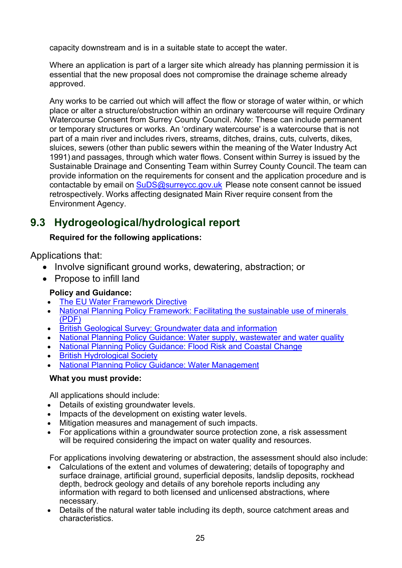capacity downstream and is in a suitable state to accept the water.

Where an application is part of a larger site which already has planning permission it is essential that the new proposal does not compromise the drainage scheme already approved.

Any works to be carried out which will affect the flow or storage of water within, or which place or alter a structure/obstruction within an ordinary watercourse will require Ordinary Watercourse Consent from Surrey County Council. *Note*: These can include permanent or temporary structures or works. An 'ordinary watercourse' is a watercourse that is not part of a main river and includes rivers, streams, ditches, drains, cuts, culverts, dikes, sluices, sewers (other than public sewers within the meaning of the Water Industry Act 1991) and passages, through which water flows. Consent within Surrey is issued by the Sustainable Drainage and Consenting Team within Surrey County Council.The team can provide information on the requirements for consent and the application procedure and is contactable by email on [SuDS@surreycc.gov.uk](mailto:SuDS@surreycc.gov.uk) Please note consent cannot be issued retrospectively. Works affecting designated Main River require consent from the Environment Agency.

# <span id="page-24-0"></span>**9.3 Hydrogeological/hydrological report**

### **Required for the following applications:**

Applications that:

- Involve significant ground works, dewatering, abstraction; or
- Propose to infill land

### **Policy and Guidance:**

- **[The EU Water Framework Directive](http://ec.europa.eu/environment/water/water-framework/index_en.html)**
- [National Planning Policy Framework: Facilitating the sustainable use of minerals](https://assets.publishing.service.gov.uk/government/uploads/system/uploads/attachment_data/file/810197/NPPF_Feb_2019_revised.pdf)  [\(PDF\)](https://assets.publishing.service.gov.uk/government/uploads/system/uploads/attachment_data/file/810197/NPPF_Feb_2019_revised.pdf)
- [British Geological Survey: Groundwater data and information](http://www.bgs.ac.uk/research/groundwater/datainfo/datainformation.html)
- [National Planning Policy Guidance: Water supply, wastewater and water quality](http://planningguidance.planningportal.gov.uk/blog/guidance/water-supply-wastewater-and-water-quality/)
- [National Planning Policy Guidance: Flood Risk and Coastal Change](http://planningguidance.planningportal.gov.uk/blog/guidance/flood-risk-and-coastal-change/)
- **[British Hydrological Society](http://www.hydrology.org.uk/)**
- [National Planning Policy Guidance: Water Management](https://www.gov.uk/guidance/water-management-abstract-or-impound-water)

### **What you must provide:**

All applications should include:

- Details of existing groundwater levels.
- Impacts of the development on existing water levels.
- Mitigation measures and management of such impacts.
- For applications within a groundwater source protection zone, a risk assessment will be required considering the impact on water quality and resources.

For applications involving dewatering or abstraction, the assessment should also include:

- Calculations of the extent and volumes of dewatering; details of topography and surface drainage, artificial ground, superficial deposits, landslip deposits, rockhead depth, bedrock geology and details of any borehole reports including any information with regard to both licensed and unlicensed abstractions, where necessary.
- Details of the natural water table including its depth, source catchment areas and characteristics.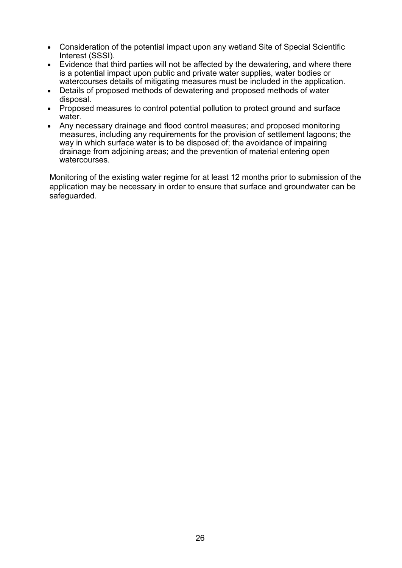- Consideration of the potential impact upon any wetland Site of Special Scientific Interest (SSSI).
- Evidence that third parties will not be affected by the dewatering, and where there is a potential impact upon public and private water supplies, water bodies or watercourses details of mitigating measures must be included in the application.
- Details of proposed methods of dewatering and proposed methods of water disposal.
- Proposed measures to control potential pollution to protect ground and surface water.
- Any necessary drainage and flood control measures; and proposed monitoring measures, including any requirements for the provision of settlement lagoons; the way in which surface water is to be disposed of; the avoidance of impairing drainage from adjoining areas; and the prevention of material entering open watercourses.

Monitoring of the existing water regime for at least 12 months prior to submission of the application may be necessary in order to ensure that surface and groundwater can be safeguarded.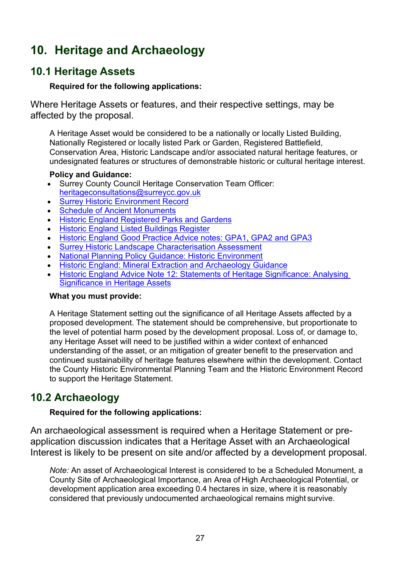# <span id="page-26-0"></span>**10. Heritage and Archaeology**

## <span id="page-26-1"></span>**10.1 Heritage Assets**

### **Required for the following applications:**

Where Heritage Assets or features, and their respective settings, may be affected by the proposal.

A Heritage Asset would be considered to be a nationally or locally Listed Building, Nationally Registered or locally listed Park or Garden, Registered Battlefield, Conservation Area, Historic Landscape and/or associated natural heritage features, or undesignated features or structures of demonstrable historic or cultural heritage interest.

### **Policy and Guidance:**

- Surrey County Council Heritage Conservation Team Officer: [heritageconsultations@surreycc.gov.uk](mailto:heritageconsultations@surreycc.gov.uk)
- [Surrey Historic Environment Record](https://www.surreycc.gov.uk/land-planning-and-development/historical-planning/historic-environment-record)
- **[Schedule of Ancient Monuments](https://historicengland.org.uk/listing/what-is-designation/scheduled-monuments/)**
- **[Historic England Registered](https://historicengland.org.uk/listing/what-is-designation/registered-parks-and-gardens/) Parks and Gardens**
- [Historic England Listed Buildings Register](https://historicengland.org.uk/listing/what-is-designation/listed-buildings/)
- [Historic England Good Practice Advice notes: GPA1, GPA2 and GPA3](https://historicengland.org.uk/images-books/publications/)
- [Surrey Historic Landscape Characterisation Assessment](https://archaeologydataservice.ac.uk/archives/view/surrey_hlc_2017/index.cfm)
- [National Planning Policy Guidance: Historic Environment](http://planningguidance.planningportal.gov.uk/blog/guidance/conserving-and-enhancing-the-historic-environment/)
- **[Historic England: Mineral Extraction and Archaeology Guidance](https://historicengland.org.uk/images-books/publications/mineral-extraction-and-archaeology-advice-note-13/)**
- [Historic England Advice Note 12: Statements of Heritage Significance: Analysing](https://historicengland.org.uk/images-books/publications/statements-heritage-significance-advice-note-12/)  Significance [in Heritage Assets](https://historicengland.org.uk/images-books/publications/statements-heritage-significance-advice-note-12/)

### **What you must provide:**

A Heritage Statement setting out the significance of all Heritage Assets affected by a proposed development. The statement should be comprehensive, but proportionate to the level of potential harm posed by the development proposal. Loss of, or damage to, any Heritage Asset will need to be justified within a wider context of enhanced understanding of the asset, or an mitigation of greater benefit to the preservation and continued sustainability of heritage features elsewhere within the development. Contact the County Historic Environmental Planning Team and the Historic Environment Record to support the Heritage Statement.

# <span id="page-26-2"></span>**10.2 Archaeology**

### **Required for the following applications:**

An archaeological assessment is required when a Heritage Statement or preapplication discussion indicates that a Heritage Asset with an Archaeological Interest is likely to be present on site and/or affected by a development proposal.

*Note:* An asset of Archaeological Interest is considered to be a Scheduled Monument, a County Site of Archaeological Importance, an Area of High Archaeological Potential, or development application area exceeding 0.4 hectares in size, where it is reasonably considered that previously undocumented archaeological remains might survive.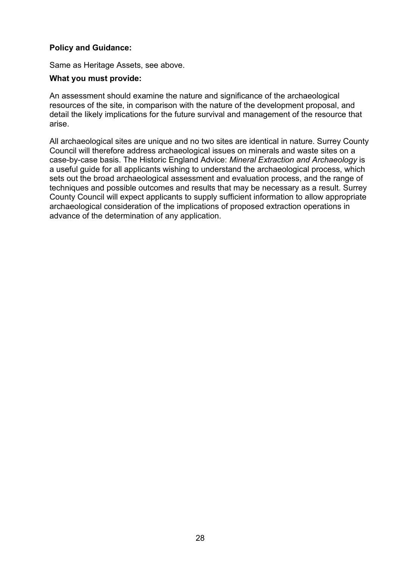#### **Policy and Guidance:**

Same as Heritage Assets, see above.

#### **What you must provide:**

An assessment should examine the nature and significance of the archaeological resources of the site, in comparison with the nature of the development proposal, and detail the likely implications for the future survival and management of the resource that arise.

All archaeological sites are unique and no two sites are identical in nature. Surrey County Council will therefore address archaeological issues on minerals and waste sites on a case-by-case basis. The Historic England Advice: *Mineral Extraction and Archaeology* is a useful guide for all applicants wishing to understand the archaeological process, which sets out the broad archaeological assessment and evaluation process, and the range of techniques and possible outcomes and results that may be necessary as a result. Surrey County Council will expect applicants to supply sufficient information to allow appropriate archaeological consideration of the implications of proposed extraction operations in advance of the determination of any application.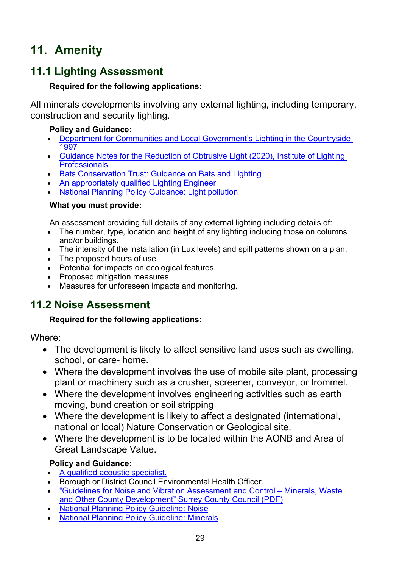# <span id="page-28-0"></span>**11. Amenity**

# <span id="page-28-1"></span>**11.1 Lighting Assessment**

## **Required for the following applications:**

All minerals developments involving any external lighting, including temporary, construction and security lighting.

### **Policy and Guidance:**

- [Department for Communities and Local Government's Lighting in the Countryside](https://webarchive.nationalarchives.gov.uk/20120919202429/http:/www.communities.gov.uk/archived/publications/planningandbuilding/lighting)  [1997](https://webarchive.nationalarchives.gov.uk/20120919202429/http:/www.communities.gov.uk/archived/publications/planningandbuilding/lighting)
- [Guidance Notes for the Reduction of Obtrusive Light \(2020\), Institute of Lighting](https://www.theilp.org.uk/documents/obtrusive-light/)  **[Professionals](https://www.theilp.org.uk/documents/obtrusive-light/)**
- [Bats Conservation Trust: Guidance on Bats and Lighting](https://www.bats.org.uk/news/2018/09/new-guidance-on-bats-and-lighting)
- [An appropriately qualified Lighting Engineer](https://www.theilp.org.uk/resources/consultants/)
- [National Planning Policy Guidance: Light pollution](https://www.gov.uk/guidance/light-pollution)

### **What you must provide:**

An assessment providing full details of any external lighting including details of:

- The number, type, location and height of any lighting including those on columns and/or buildings.
- The intensity of the installation (in Lux levels) and spill patterns shown on a plan.
- The proposed hours of use.
- Potential for impacts on ecological features.
- Proposed mitigation measures.
- Measures for unforeseen impacts and monitoring.

# <span id="page-28-2"></span>**11.2 Noise Assessment**

## **Required for the following applications:**

Where:

- The development is likely to affect sensitive land uses such as dwelling, school, or care- home.
- Where the development involves the use of mobile site plant, processing plant or machinery such as a crusher, screener, conveyor, or trommel.
- Where the development involves engineering activities such as earth moving, bund creation or soil stripping
- Where the development is likely to affect a designated (international, national or local) Nature Conservation or Geological site.
- Where the development is to be located within the AONB and Area of Great Landscape Value.

## **Policy and Guidance:**

- [A qualified acoustic specialist.](http://www.ioa.org.uk/)
- Borough or District Council Environmental Health Officer.
- ["Guidelines for Noise and Vibration Assessment and Control –](https://www.surreycc.gov.uk/__data/assets/pdf_file/0019/16453/Surrey-Noise-Guidelines-January-2020.pdf) Minerals, Waste [and Other County Development" Surrey County Council](https://www.surreycc.gov.uk/__data/assets/pdf_file/0019/16453/Surrey-Noise-Guidelines-January-2020.pdf) (PDF)
- [National Planning Policy Guideline: Noise](https://www.gov.uk/guidance/noise--2)
- [National Planning Policy Guideline: Minerals](https://www.gov.uk/guidance/minerals)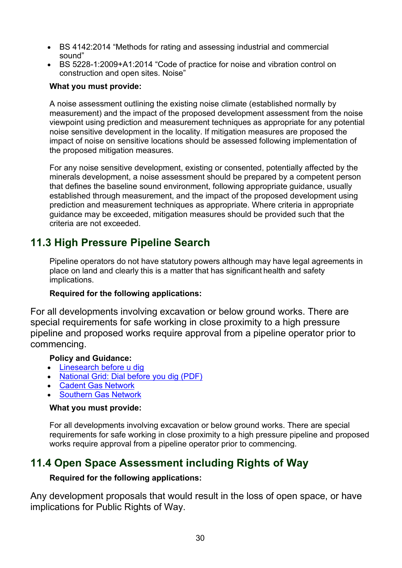- BS 4142:2014 "Methods for rating and assessing industrial and commercial sound"
- BS 5228-1:2009+A1:2014 "Code of practice for noise and vibration control on construction and open sites. Noise"

#### **What you must provide:**

A noise assessment outlining the existing noise climate (established normally by measurement) and the impact of the proposed development assessment from the noise viewpoint using prediction and measurement techniques as appropriate for any potential noise sensitive development in the locality. If mitigation measures are proposed the impact of noise on sensitive locations should be assessed following implementation of the proposed mitigation measures.

For any noise sensitive development, existing or consented, potentially affected by the minerals development, a noise assessment should be prepared by a competent person that defines the baseline sound environment, following appropriate guidance, usually established through measurement, and the impact of the proposed development using prediction and measurement techniques as appropriate. Where criteria in appropriate guidance may be exceeded, mitigation measures should be provided such that the criteria are not exceeded.

# <span id="page-29-0"></span>**11.3 High Pressure Pipeline Search**

Pipeline operators do not have statutory powers although may have legal agreements in place on land and clearly this is a matter that has significant health and safety implications.

### **Required for the following applications:**

For all developments involving excavation or below ground works. There are special requirements for safe working in close proximity to a high pressure pipeline and proposed works require approval from a pipeline operator prior to commencing.

### **Policy and Guidance:**

- [Linesearch before u dig](https://www.linesearchbeforeudig.co.uk/)
- [National Grid: Dial before you dig \(PDF\)](https://www.nationalgrid.com/sites/default/files/documents/33969-Dial%20before%20you%20dig%20-%20your%20at-a-glance%20guide.pdf)
- [Cadent Gas Network](https://cadentgas.com/help-advice/digging-safely)
- [Southern Gas Network](https://www.sgn.co.uk/help-and-advice/digging-safely)

### **What you must provide:**

For all developments involving excavation or below ground works. There are special requirements for safe working in close proximity to a high pressure pipeline and proposed works require approval from a pipeline operator prior to commencing.

## <span id="page-29-1"></span>**11.4 Open Space Assessment including Rights of Way**

### **Required for the following applications:**

Any development proposals that would result in the loss of open space, or have implications for Public Rights of Way.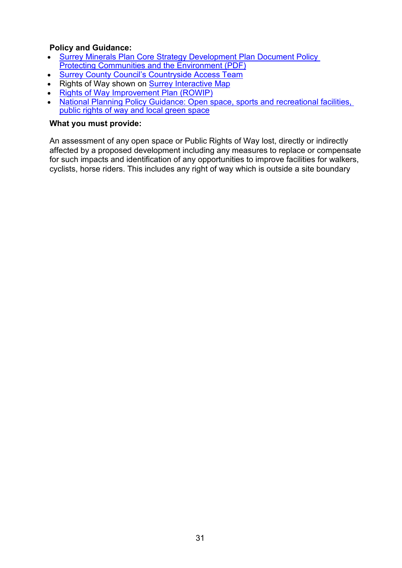# **Policy and Guidance:**<br>• Surrey Minerals Plan

- [Surrey Minerals Plan Core Strategy Development Plan Document Policy](https://www.surreycc.gov.uk/__data/assets/pdf_file/0007/81439/Adopted-Core-Strategy-Development-Plan-Document.pdf)  [Protecting Communities and the Environment \(PDF\)](https://www.surreycc.gov.uk/__data/assets/pdf_file/0007/81439/Adopted-Core-Strategy-Development-Plan-Document.pdf)
- [Surrey County Council's Countryside Access Team](https://www.surreycc.gov.uk/environment-housing-and-planning/countryside)
- Rights of Way shown on [Surrey Interactive Map](http://www.surreycc.gov.uk/maps/surrey-interactive-map)
- [Rights of Way Improvement Plan \(ROWIP\)](https://www.surreycc.gov.uk/land-planning-and-development/countryside/footpaths-byways-and-bridleways/rights-of-way-improvement-plan)
- National Planning Policy Guidance: Open space, sports and recreational facilities, [public rights of way and local green space](https://www.gov.uk/guidance/open-space-sports-and-recreation-facilities-public-rights-of-way-and-local-green-space)

#### **What you must provide:**

An assessment of any open space or Public Rights of Way lost, directly or indirectly affected by a proposed development including any measures to replace or compensate for such impacts and identification of any opportunities to improve facilities for walkers, cyclists, horse riders. This includes any right of way which is outside a site boundary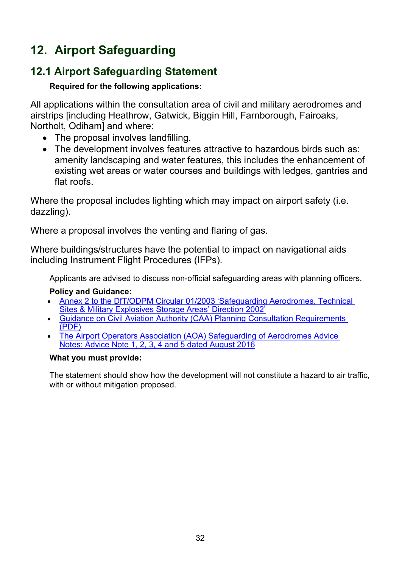# <span id="page-31-0"></span>**12. Airport Safeguarding**

# <span id="page-31-1"></span>**12.1 Airport Safeguarding Statement**

## **Required for the following applications:**

All applications within the consultation area of civil and military aerodromes and airstrips [including Heathrow, Gatwick, Biggin Hill, Farnborough, Fairoaks, Northolt, Odiham] and where:

- The proposal involves landfilling.
- The development involves features attractive to hazardous birds such as: amenity landscaping and water features, this includes the enhancement of existing wet areas or water courses and buildings with ledges, gantries and flat roofs.

Where the proposal includes lighting which may impact on airport safety (i.e. dazzling).

Where a proposal involves the venting and flaring of gas.

Where buildings/structures have the potential to impact on navigational aids including Instrument Flight Procedures (IFPs).

Applicants are advised to discuss non-official safeguarding areas with planning officers.

## **Policy and Guidance:**

- [Annex 2 to the DfT/ODPM Circular 01/2003 'Safeguarding Aerodromes, Technical](https://www.gov.uk/government/publications/safeguarding-aerodromes-technical-sites-and-military-explosives-storage-areas)  [Sites & Military Explosives Storage Areas' Direction 2002'](https://www.gov.uk/government/publications/safeguarding-aerodromes-technical-sites-and-military-explosives-storage-areas)
- [Guidance on Civil Aviation Authority \(CAA\) Planning Consultation Requirements](https://publicapps.caa.co.uk/docs/33/20120802GuidanceOnCAAPlanningConsultationRequirementsAug12Update.pdf)  [\(PDF\)](https://publicapps.caa.co.uk/docs/33/20120802GuidanceOnCAAPlanningConsultationRequirementsAug12Update.pdf)
- [The Airport Operators Association \(AOA\) Safeguarding of Aerodromes Advice](http://www.aoa.org.uk/policy-campaigns/operations-safety/)  [Notes: Advice Note 1, 2, 3, 4 and 5 dated August 2016](http://www.aoa.org.uk/policy-campaigns/operations-safety/)

### **What you must provide:**

The statement should show how the development will not constitute a hazard to air traffic, with or without mitigation proposed.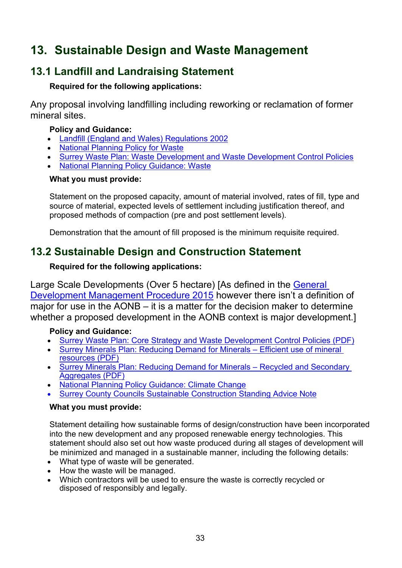# <span id="page-32-0"></span>**13. Sustainable Design and Waste Management**

# <span id="page-32-1"></span>**13.1 Landfill and Landraising Statement**

### **Required for the following applications:**

Any proposal involving landfilling including reworking or reclamation of former mineral sites.

### **Policy and Guidance:**

- [Landfill \(England and Wales\) Regulations 2002](http://www.legislation.gov.uk/uksi/2002/1559/contents/made)
- **[National Planning Policy for Waste](https://www.gov.uk/government/publications/national-planning-policy-for-waste)**
- [Surrey Waste Plan: Waste Development and Waste Development Control Policies](https://www.surreycc.gov.uk/land-planning-and-development/minerals-and-waste)
- [National Planning Policy Guidance: Waste](https://www.gov.uk/guidance/waste)

### **What you must provide:**

Statement on the proposed capacity, amount of material involved, rates of fill, type and source of material, expected levels of settlement including justification thereof, and proposed methods of compaction (pre and post settlement levels).

Demonstration that the amount of fill proposed is the minimum requisite required.

# <span id="page-32-2"></span>**13.2 Sustainable Design and Construction Statement**

### **Required for the following applications:**

Large Scale Developments (Over 5 hectare) [As defined in the General [Development Management Procedure 2015](http://www.legistlation.gov.uk/uksi/2015/595/article/2/made) however there isn't a definition of major for use in the AONB – it is a matter for the decision maker to determine whether a proposed development in the AONB context is major development.]

### **Policy and Guidance:**

- [Surrey Waste Plan: Core Strategy and Waste Development Control Policies \(PDF\)](https://www.surreycc.gov.uk/__data/assets/pdf_file/0018/30447/Surrey-Waste-Plan-May_2008minusEpages.pdf)
- [Surrey Minerals Plan: Reducing Demand for Minerals –](https://www.surreycc.gov.uk/__data/assets/pdf_file/0007/81439/Adopted-Core-Strategy-Development-Plan-Document.pdf) Efficient use of mineral [resources \(PDF\)](https://www.surreycc.gov.uk/__data/assets/pdf_file/0007/81439/Adopted-Core-Strategy-Development-Plan-Document.pdf)
- [Surrey Minerals Plan: Reducing Demand for Minerals –](https://www.surreycc.gov.uk/__data/assets/pdf_file/0007/81439/Adopted-Core-Strategy-Development-Plan-Document.pdf) Recycled and Secondary [Aggregates \(PDF\)](https://www.surreycc.gov.uk/__data/assets/pdf_file/0007/81439/Adopted-Core-Strategy-Development-Plan-Document.pdf)
- [National Planning Policy Guidance: Climate Change](http://planningguidance.planningportal.gov.uk/blog/guidance/climate-change/)
- [Surrey County Councils Sustainable Construction Standing Advice Note](https://www.surreycc.gov.uk/__data/assets/pdf_file/0006/93516/2016-09-08-Sustainable-Cons-Standing-Advice_p1.pdf)

### **What you must provide:**

Statement detailing how sustainable forms of design/construction have been incorporated into the new development and any proposed renewable energy technologies. This statement should also set out how waste produced during all stages of development will be minimized and managed in a sustainable manner, including the following details:

- What type of waste will be generated.
- How the waste will be managed.
- Which contractors will be used to ensure the waste is correctly recycled or disposed of responsibly and legally.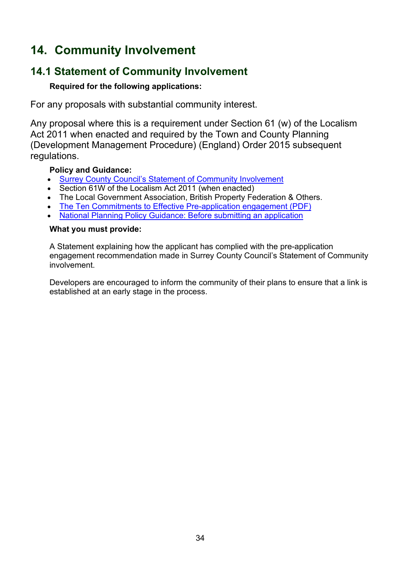# <span id="page-33-0"></span>**14. Community Involvement**

# <span id="page-33-1"></span>**14.1 Statement of Community Involvement**

### **Required for the following applications:**

For any proposals with substantial community interest.

Any proposal where this is a requirement under Section 61 (w) of the Localism Act 2011 when enacted and required by the Town and County Planning (Development Management Procedure) (England) Order 2015 subsequent regulations.

### **Policy and Guidance:**

- [Surrey County Council's Statement of Community Involvement](https://www.surreycc.gov.uk/land-planning-and-development/minerals-and-waste/statement-of-community-involvement)
- Section 61W of the Localism Act 2011 (when enacted)
- The Local Government Association, British Property Federation & Others.
- [The Ten Commitments to Effective Pre-application engagement \(PDF\)](http://www.rtpi.org.uk/media/844002/10%20commitments%20for%20effective%20pre-application%20engagement.pdf)
- [National Planning Policy Guidance: Before submitting an application](http://planningguidance.planningportal.gov.uk/blog/guidance/before-submitting-an-application/)

#### **What you must provide:**

A Statement explaining how the applicant has complied with the pre-application engagement recommendation made in Surrey County Council's Statement of Community involvement.

Developers are encouraged to inform the community of their plans to ensure that a link is established at an early stage in the process.